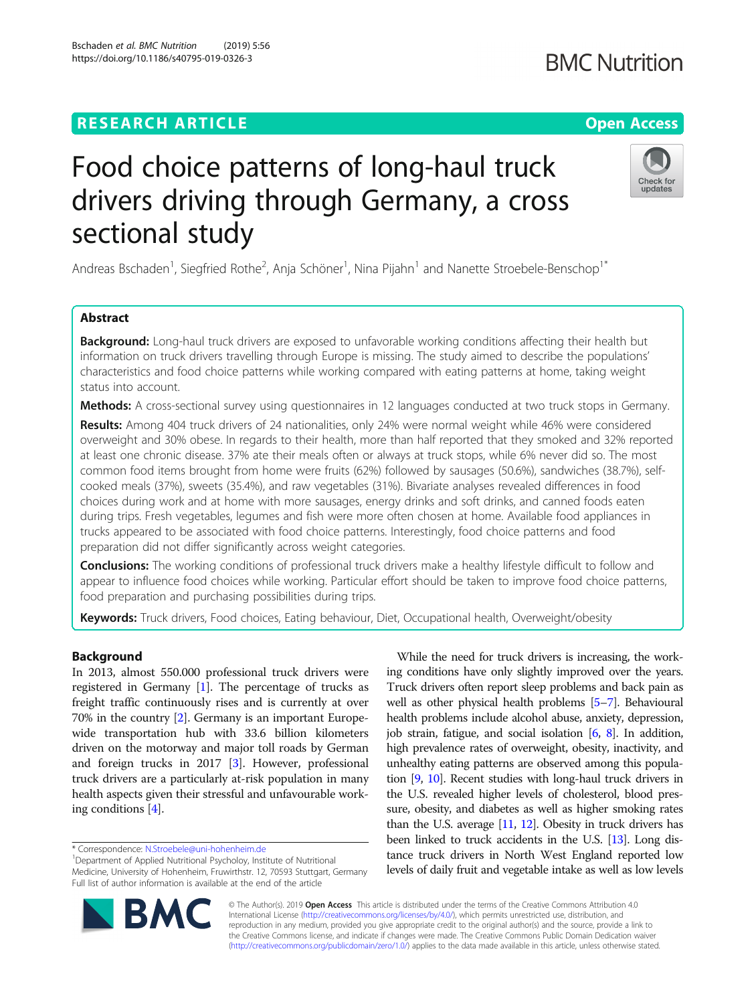# **RESEARCH ARTICLE Example 2014 CONSIDERING A RESEARCH ARTICLE**

Bschaden et al. BMC Nutrition (2019) 5:56 https://doi.org/10.1186/s40795-019-0326-3

# Food choice patterns of long-haul truck drivers driving through Germany, a cross sectional study

Andreas Bschaden<sup>1</sup>, Siegfried Rothe<sup>2</sup>, Anja Schöner<sup>1</sup>, Nina Pijahn<sup>1</sup> and Nanette Stroebele-Benschop<sup>1\*</sup>

# Abstract

Background: Long-haul truck drivers are exposed to unfavorable working conditions affecting their health but information on truck drivers travelling through Europe is missing. The study aimed to describe the populations' characteristics and food choice patterns while working compared with eating patterns at home, taking weight status into account.

**Methods:** A cross-sectional survey using questionnaires in 12 languages conducted at two truck stops in Germany.

Results: Among 404 truck drivers of 24 nationalities, only 24% were normal weight while 46% were considered overweight and 30% obese. In regards to their health, more than half reported that they smoked and 32% reported at least one chronic disease. 37% ate their meals often or always at truck stops, while 6% never did so. The most common food items brought from home were fruits (62%) followed by sausages (50.6%), sandwiches (38.7%), selfcooked meals (37%), sweets (35.4%), and raw vegetables (31%). Bivariate analyses revealed differences in food choices during work and at home with more sausages, energy drinks and soft drinks, and canned foods eaten during trips. Fresh vegetables, legumes and fish were more often chosen at home. Available food appliances in trucks appeared to be associated with food choice patterns. Interestingly, food choice patterns and food preparation did not differ significantly across weight categories.

**Conclusions:** The working conditions of professional truck drivers make a healthy lifestyle difficult to follow and appear to influence food choices while working. Particular effort should be taken to improve food choice patterns, food preparation and purchasing possibilities during trips.

Keywords: Truck drivers, Food choices, Eating behaviour, Diet, Occupational health, Overweight/obesity

# Background

In 2013, almost 550.000 professional truck drivers were registered in Germany [[1](#page-6-0)]. The percentage of trucks as freight traffic continuously rises and is currently at over 70% in the country [[2\]](#page-6-0). Germany is an important Europewide transportation hub with 33.6 billion kilometers driven on the motorway and major toll roads by German and foreign trucks in 2017 [\[3](#page-6-0)]. However, professional truck drivers are a particularly at-risk population in many health aspects given their stressful and unfavourable working conditions [\[4](#page-6-0)].

\* Correspondence: [N.Stroebele@uni-hohenheim.de](mailto:N.Stroebele@uni-hohenheim.de) <sup>1</sup>

**BM** 

<sup>1</sup>Department of Applied Nutritional Psycholoy, Institute of Nutritional Medicine, University of Hohenheim, Fruwirthstr. 12, 70593 Stuttgart, Germany Full list of author information is available at the end of the article

© The Author(s). 2019 Open Access This article is distributed under the terms of the Creative Commons Attribution 4.0 International License [\(http://creativecommons.org/licenses/by/4.0/](http://creativecommons.org/licenses/by/4.0/)), which permits unrestricted use, distribution, and reproduction in any medium, provided you give appropriate credit to the original author(s) and the source, provide a link to the Creative Commons license, and indicate if changes were made. The Creative Commons Public Domain Dedication waiver [\(http://creativecommons.org/publicdomain/zero/1.0/](http://creativecommons.org/publicdomain/zero/1.0/)) applies to the data made available in this article, unless otherwise stated.

While the need for truck drivers is increasing, the working conditions have only slightly improved over the years. Truck drivers often report sleep problems and back pain as well as other physical health problems [\[5](#page-6-0)–[7](#page-6-0)]. Behavioural health problems include alcohol abuse, anxiety, depression, job strain, fatigue, and social isolation [[6](#page-6-0), [8](#page-6-0)]. In addition, high prevalence rates of overweight, obesity, inactivity, and unhealthy eating patterns are observed among this population [[9](#page-6-0), [10](#page-6-0)]. Recent studies with long-haul truck drivers in the U.S. revealed higher levels of cholesterol, blood pressure, obesity, and diabetes as well as higher smoking rates than the U.S. average [[11](#page-6-0), [12\]](#page-6-0). Obesity in truck drivers has been linked to truck accidents in the U.S. [[13](#page-6-0)]. Long distance truck drivers in North West England reported low levels of daily fruit and vegetable intake as well as low levels



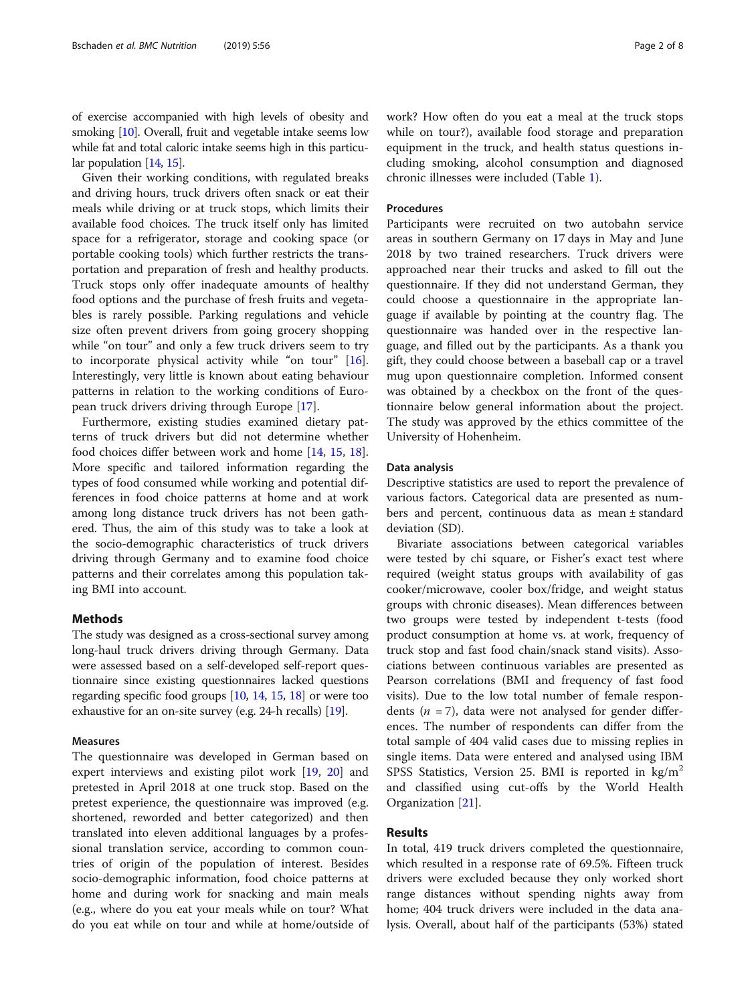of exercise accompanied with high levels of obesity and smoking [\[10\]](#page-6-0). Overall, fruit and vegetable intake seems low while fat and total caloric intake seems high in this particu-lar population [\[14,](#page-6-0) [15\]](#page-6-0).

Given their working conditions, with regulated breaks and driving hours, truck drivers often snack or eat their meals while driving or at truck stops, which limits their available food choices. The truck itself only has limited space for a refrigerator, storage and cooking space (or portable cooking tools) which further restricts the transportation and preparation of fresh and healthy products. Truck stops only offer inadequate amounts of healthy food options and the purchase of fresh fruits and vegetables is rarely possible. Parking regulations and vehicle size often prevent drivers from going grocery shopping while "on tour" and only a few truck drivers seem to try to incorporate physical activity while "on tour" [\[16](#page-6-0)]. Interestingly, very little is known about eating behaviour patterns in relation to the working conditions of European truck drivers driving through Europe [[17\]](#page-6-0).

Furthermore, existing studies examined dietary patterns of truck drivers but did not determine whether food choices differ between work and home [[14,](#page-6-0) [15,](#page-6-0) [18](#page-6-0)]. More specific and tailored information regarding the types of food consumed while working and potential differences in food choice patterns at home and at work among long distance truck drivers has not been gathered. Thus, the aim of this study was to take a look at the socio-demographic characteristics of truck drivers driving through Germany and to examine food choice patterns and their correlates among this population taking BMI into account.

# **Methods**

The study was designed as a cross-sectional survey among long-haul truck drivers driving through Germany. Data were assessed based on a self-developed self-report questionnaire since existing questionnaires lacked questions regarding specific food groups [\[10,](#page-6-0) [14,](#page-6-0) [15](#page-6-0), [18\]](#page-6-0) or were too exhaustive for an on-site survey (e.g. 24-h recalls) [\[19\]](#page-7-0).

#### Measures

The questionnaire was developed in German based on expert interviews and existing pilot work [[19,](#page-7-0) [20\]](#page-7-0) and pretested in April 2018 at one truck stop. Based on the pretest experience, the questionnaire was improved (e.g. shortened, reworded and better categorized) and then translated into eleven additional languages by a professional translation service, according to common countries of origin of the population of interest. Besides socio-demographic information, food choice patterns at home and during work for snacking and main meals (e.g., where do you eat your meals while on tour? What do you eat while on tour and while at home/outside of work? How often do you eat a meal at the truck stops while on tour?), available food storage and preparation equipment in the truck, and health status questions including smoking, alcohol consumption and diagnosed chronic illnesses were included (Table [1](#page-2-0)).

# Procedures

Participants were recruited on two autobahn service areas in southern Germany on 17 days in May and June 2018 by two trained researchers. Truck drivers were approached near their trucks and asked to fill out the questionnaire. If they did not understand German, they could choose a questionnaire in the appropriate language if available by pointing at the country flag. The questionnaire was handed over in the respective language, and filled out by the participants. As a thank you gift, they could choose between a baseball cap or a travel mug upon questionnaire completion. Informed consent was obtained by a checkbox on the front of the questionnaire below general information about the project. The study was approved by the ethics committee of the University of Hohenheim.

#### Data analysis

Descriptive statistics are used to report the prevalence of various factors. Categorical data are presented as numbers and percent, continuous data as mean ± standard deviation (SD).

Bivariate associations between categorical variables were tested by chi square, or Fisher's exact test where required (weight status groups with availability of gas cooker/microwave, cooler box/fridge, and weight status groups with chronic diseases). Mean differences between two groups were tested by independent t-tests (food product consumption at home vs. at work, frequency of truck stop and fast food chain/snack stand visits). Associations between continuous variables are presented as Pearson correlations (BMI and frequency of fast food visits). Due to the low total number of female respondents ( $n = 7$ ), data were not analysed for gender differences. The number of respondents can differ from the total sample of 404 valid cases due to missing replies in single items. Data were entered and analysed using IBM SPSS Statistics, Version 25. BMI is reported in  $\text{kg/m}^2$ and classified using cut-offs by the World Health Organization [\[21](#page-7-0)].

# Results

In total, 419 truck drivers completed the questionnaire, which resulted in a response rate of 69.5%. Fifteen truck drivers were excluded because they only worked short range distances without spending nights away from home; 404 truck drivers were included in the data analysis. Overall, about half of the participants (53%) stated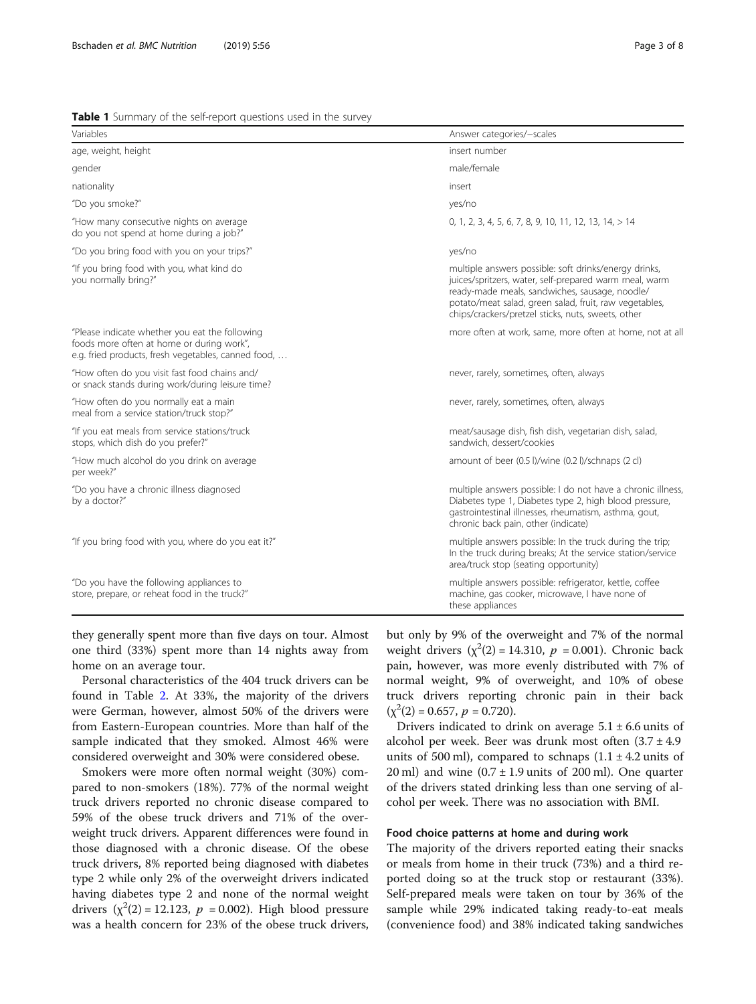#### <span id="page-2-0"></span>Table 1 Summary of the self-report questions used in the survey

| Variables                                                                                                                                          | Answer categories/-scales                                                                                                                                                                                                                                                         |  |  |  |
|----------------------------------------------------------------------------------------------------------------------------------------------------|-----------------------------------------------------------------------------------------------------------------------------------------------------------------------------------------------------------------------------------------------------------------------------------|--|--|--|
| age, weight, height                                                                                                                                | insert number                                                                                                                                                                                                                                                                     |  |  |  |
| gender                                                                                                                                             | male/female                                                                                                                                                                                                                                                                       |  |  |  |
| nationality                                                                                                                                        | insert                                                                                                                                                                                                                                                                            |  |  |  |
| "Do you smoke?"                                                                                                                                    | yes/no                                                                                                                                                                                                                                                                            |  |  |  |
| "How many consecutive nights on average<br>do you not spend at home during a job?"                                                                 | 0, 1, 2, 3, 4, 5, 6, 7, 8, 9, 10, 11, 12, 13, 14, $> 14$                                                                                                                                                                                                                          |  |  |  |
| "Do you bring food with you on your trips?"                                                                                                        | yes/no                                                                                                                                                                                                                                                                            |  |  |  |
| "If you bring food with you, what kind do<br>you normally bring?"                                                                                  | multiple answers possible: soft drinks/energy drinks,<br>juices/spritzers, water, self-prepared warm meal, warm<br>ready-made meals, sandwiches, sausage, noodle/<br>potato/meat salad, green salad, fruit, raw vegetables,<br>chips/crackers/pretzel sticks, nuts, sweets, other |  |  |  |
| "Please indicate whether you eat the following<br>foods more often at home or during work",<br>e.g. fried products, fresh vegetables, canned food, | more often at work, same, more often at home, not at all                                                                                                                                                                                                                          |  |  |  |
| "How often do you visit fast food chains and/<br>or snack stands during work/during leisure time?                                                  | never, rarely, sometimes, often, always                                                                                                                                                                                                                                           |  |  |  |
| "How often do you normally eat a main<br>meal from a service station/truck stop?"                                                                  | never, rarely, sometimes, often, always                                                                                                                                                                                                                                           |  |  |  |
| "If you eat meals from service stations/truck<br>stops, which dish do you prefer?"                                                                 | meat/sausage dish, fish dish, vegetarian dish, salad,<br>sandwich, dessert/cookies                                                                                                                                                                                                |  |  |  |
| "How much alcohol do you drink on average<br>per week?"                                                                                            | amount of beer (0.5 l)/wine (0.2 l)/schnaps (2 cl)                                                                                                                                                                                                                                |  |  |  |
| "Do you have a chronic illness diagnosed<br>by a doctor?"                                                                                          | multiple answers possible: I do not have a chronic illness,<br>Diabetes type 1, Diabetes type 2, high blood pressure,<br>gastrointestinal illnesses, rheumatism, asthma, gout,<br>chronic back pain, other (indicate)                                                             |  |  |  |
| "If you bring food with you, where do you eat it?"                                                                                                 | multiple answers possible: In the truck during the trip;<br>In the truck during breaks; At the service station/service<br>area/truck stop (seating opportunity)                                                                                                                   |  |  |  |
| "Do you have the following appliances to<br>store, prepare, or reheat food in the truck?"                                                          | multiple answers possible: refrigerator, kettle, coffee<br>machine, gas cooker, microwave, I have none of<br>these appliances                                                                                                                                                     |  |  |  |

they generally spent more than five days on tour. Almost one third (33%) spent more than 14 nights away from home on an average tour.

Personal characteristics of the 404 truck drivers can be found in Table [2.](#page-3-0) At 33%, the majority of the drivers were German, however, almost 50% of the drivers were from Eastern-European countries. More than half of the sample indicated that they smoked. Almost 46% were considered overweight and 30% were considered obese.

Smokers were more often normal weight (30%) compared to non-smokers (18%). 77% of the normal weight truck drivers reported no chronic disease compared to 59% of the obese truck drivers and 71% of the overweight truck drivers. Apparent differences were found in those diagnosed with a chronic disease. Of the obese truck drivers, 8% reported being diagnosed with diabetes type 2 while only 2% of the overweight drivers indicated having diabetes type 2 and none of the normal weight drivers  $(\chi^2(2) = 12.123, p = 0.002)$ . High blood pressure was a health concern for 23% of the obese truck drivers,

but only by 9% of the overweight and 7% of the normal weight drivers  $(\chi^2(2) = 14.310, p = 0.001)$ . Chronic back pain, however, was more evenly distributed with 7% of normal weight, 9% of overweight, and 10% of obese truck drivers reporting chronic pain in their back  $(\chi^2(2) = 0.657, p = 0.720).$ 

Drivers indicated to drink on average  $5.1 \pm 6.6$  units of alcohol per week. Beer was drunk most often  $(3.7 \pm 4.9)$ units of 500 ml), compared to schnaps  $(1.1 \pm 4.2 \text{ units of})$ 20 ml) and wine  $(0.7 \pm 1.9 \text{ units of } 200 \text{ ml})$ . One quarter of the drivers stated drinking less than one serving of alcohol per week. There was no association with BMI.

#### Food choice patterns at home and during work

The majority of the drivers reported eating their snacks or meals from home in their truck (73%) and a third reported doing so at the truck stop or restaurant (33%). Self-prepared meals were taken on tour by 36% of the sample while 29% indicated taking ready-to-eat meals (convenience food) and 38% indicated taking sandwiches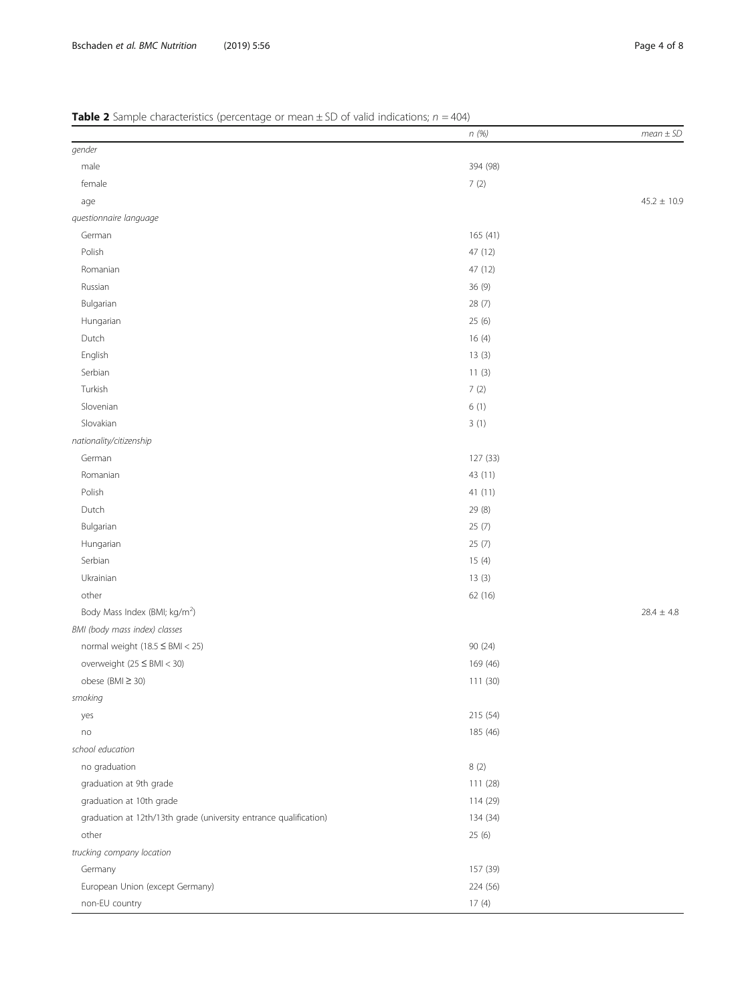|                                                                   | n (%)    | $mean \pm SD$   |
|-------------------------------------------------------------------|----------|-----------------|
| gender                                                            |          |                 |
| male                                                              | 394 (98) |                 |
| female                                                            | 7(2)     |                 |
| age                                                               |          | $45.2 \pm 10.9$ |
| questionnaire language                                            |          |                 |
| German                                                            | 165 (41) |                 |
| Polish                                                            | 47 (12)  |                 |
| Romanian                                                          | 47 (12)  |                 |
| Russian                                                           | 36 (9)   |                 |
| Bulgarian                                                         | 28(7)    |                 |
| Hungarian                                                         | 25(6)    |                 |
| Dutch                                                             | 16(4)    |                 |
| English                                                           | 13(3)    |                 |
| Serbian                                                           | 11(3)    |                 |
| Turkish                                                           | 7(2)     |                 |
| Slovenian                                                         | 6(1)     |                 |
| Slovakian                                                         | 3(1)     |                 |
| nationality/citizenship                                           |          |                 |
| German                                                            | 127 (33) |                 |
| Romanian                                                          | 43 (11)  |                 |
| Polish                                                            | 41 (11)  |                 |
| Dutch                                                             | 29 (8)   |                 |
| Bulgarian                                                         | 25(7)    |                 |
| Hungarian                                                         | 25(7)    |                 |
| Serbian                                                           | 15(4)    |                 |
| Ukrainian                                                         | 13(3)    |                 |
| other                                                             | 62 (16)  |                 |
| Body Mass Index (BMI; kg/m <sup>2</sup> )                         |          | $28.4 \pm 4.8$  |
| BMI (body mass index) classes                                     |          |                 |
| normal weight $(18.5 \leq BMI < 25)$                              | 90 (24)  |                 |
| overweight $(25 \leq BMI < 30)$                                   | 169 (46) |                 |
| obese (BMI $\geq$ 30)                                             | 111 (30) |                 |
| smoking                                                           |          |                 |
| yes                                                               | 215 (54) |                 |
| no                                                                | 185 (46) |                 |
| school education                                                  |          |                 |
| no graduation                                                     | 8(2)     |                 |
| graduation at 9th grade                                           | 111 (28) |                 |
| graduation at 10th grade                                          | 114 (29) |                 |
| graduation at 12th/13th grade (university entrance qualification) | 134 (34) |                 |
| other                                                             | 25 (6)   |                 |
| trucking company location                                         |          |                 |
| Germany                                                           | 157 (39) |                 |
| European Union (except Germany)                                   | 224 (56) |                 |
| non-EU country                                                    | 17(4)    |                 |

# <span id="page-3-0"></span>**Table 2** Sample characteristics (percentage or mean  $\pm$  SD of valid indications;  $n = 404$ )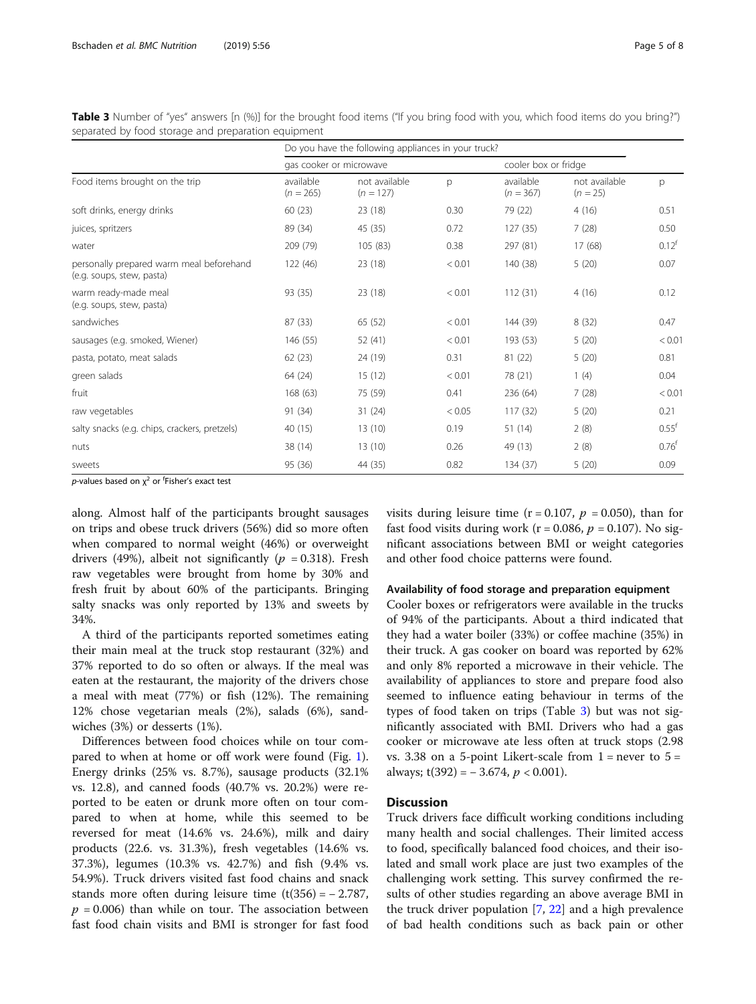|                                                                       | Do you have the following appliances in your truck? |                              |        |                          |                             |                  |
|-----------------------------------------------------------------------|-----------------------------------------------------|------------------------------|--------|--------------------------|-----------------------------|------------------|
| Food items brought on the trip                                        | gas cooker or microwave                             |                              |        |                          | cooler box or fridge        |                  |
|                                                                       | available<br>$(n = 265)$                            | not available<br>$(n = 127)$ | p      | available<br>$(n = 367)$ | not available<br>$(n = 25)$ | p                |
| soft drinks, energy drinks                                            | 60(23)                                              | 23 (18)                      | 0.30   | 79 (22)                  | 4(16)                       | 0.51             |
| juices, spritzers                                                     | 89 (34)                                             | 45 (35)                      | 0.72   | 127(35)                  | 7(28)                       | 0.50             |
| water                                                                 | 209 (79)                                            | 105 (83)                     | 0.38   | 297 (81)                 | 17(68)                      | $0.12^{f}$       |
| personally prepared warm meal beforehand<br>(e.g. soups, stew, pasta) | 122 (46)                                            | 23 (18)                      | < 0.01 | 140 (38)                 | 5(20)                       | 0.07             |
| warm ready-made meal<br>(e.g. soups, stew, pasta)                     | 93 (35)                                             | 23 (18)                      | < 0.01 | 112(31)                  | 4(16)                       | 0.12             |
| sandwiches                                                            | 87(33)                                              | 65 (52)                      | < 0.01 | 144 (39)                 | 8(32)                       | 0.47             |
| sausages (e.g. smoked, Wiener)                                        | 146 (55)                                            | 52 (41)                      | < 0.01 | 193 (53)                 | 5(20)                       | < 0.01           |
| pasta, potato, meat salads                                            | 62(23)                                              | 24 (19)                      | 0.31   | 81 (22)                  | 5(20)                       | 0.81             |
| green salads                                                          | 64 (24)                                             | 15(12)                       | < 0.01 | 78 (21)                  | 1(4)                        | 0.04             |
| fruit                                                                 | 168 (63)                                            | 75 (59)                      | 0.41   | 236 (64)                 | 7(28)                       | < 0.01           |
| raw vegetables                                                        | 91 (34)                                             | 31(24)                       | < 0.05 | 117(32)                  | 5(20)                       | 0.21             |
| salty snacks (e.g. chips, crackers, pretzels)                         | 40 (15)                                             | 13(10)                       | 0.19   | 51(14)                   | 2(8)                        | $0.55^{\dagger}$ |
| nuts                                                                  | 38 (14)                                             | 13(10)                       | 0.26   | 49 (13)                  | 2(8)                        | $0.76^{\dagger}$ |
| sweets                                                                | 95 (36)                                             | 44 (35)                      | 0.82   | 134 (37)                 | 5(20)                       | 0.09             |

Table 3 Number of "yes" answers [n (%)] for the brought food items ("If you bring food with you, which food items do you bring?") separated by food storage and preparation equipment

p-values based on  $\chi^2$  or <sup>f</sup>Fisher's exact test

along. Almost half of the participants brought sausages on trips and obese truck drivers (56%) did so more often when compared to normal weight (46%) or overweight drivers (49%), albeit not significantly ( $p = 0.318$ ). Fresh raw vegetables were brought from home by 30% and fresh fruit by about 60% of the participants. Bringing salty snacks was only reported by 13% and sweets by 34%.

A third of the participants reported sometimes eating their main meal at the truck stop restaurant (32%) and 37% reported to do so often or always. If the meal was eaten at the restaurant, the majority of the drivers chose a meal with meat (77%) or fish (12%). The remaining 12% chose vegetarian meals (2%), salads (6%), sandwiches (3%) or desserts (1%).

Differences between food choices while on tour compared to when at home or off work were found (Fig. [1](#page-5-0)). Energy drinks (25% vs. 8.7%), sausage products (32.1% vs. 12.8), and canned foods (40.7% vs. 20.2%) were reported to be eaten or drunk more often on tour compared to when at home, while this seemed to be reversed for meat (14.6% vs. 24.6%), milk and dairy products (22.6. vs. 31.3%), fresh vegetables (14.6% vs. 37.3%), legumes (10.3% vs. 42.7%) and fish (9.4% vs. 54.9%). Truck drivers visited fast food chains and snack stands more often during leisure time  $(t(356) = -2.787$ ,  $p = 0.006$ ) than while on tour. The association between fast food chain visits and BMI is stronger for fast food visits during leisure time ( $r = 0.107$ ,  $p = 0.050$ ), than for fast food visits during work ( $r = 0.086$ ,  $p = 0.107$ ). No significant associations between BMI or weight categories and other food choice patterns were found.

### Availability of food storage and preparation equipment

Cooler boxes or refrigerators were available in the trucks of 94% of the participants. About a third indicated that they had a water boiler (33%) or coffee machine (35%) in their truck. A gas cooker on board was reported by 62% and only 8% reported a microwave in their vehicle. The availability of appliances to store and prepare food also seemed to influence eating behaviour in terms of the types of food taken on trips (Table 3) but was not significantly associated with BMI. Drivers who had a gas cooker or microwave ate less often at truck stops (2.98 vs. 3.38 on a 5-point Likert-scale from  $1 =$  never to  $5 =$ always;  $t(392) = -3.674$ ,  $p < 0.001$ ).

# **Discussion**

Truck drivers face difficult working conditions including many health and social challenges. Their limited access to food, specifically balanced food choices, and their isolated and small work place are just two examples of the challenging work setting. This survey confirmed the results of other studies regarding an above average BMI in the truck driver population [[7](#page-6-0), [22](#page-7-0)] and a high prevalence of bad health conditions such as back pain or other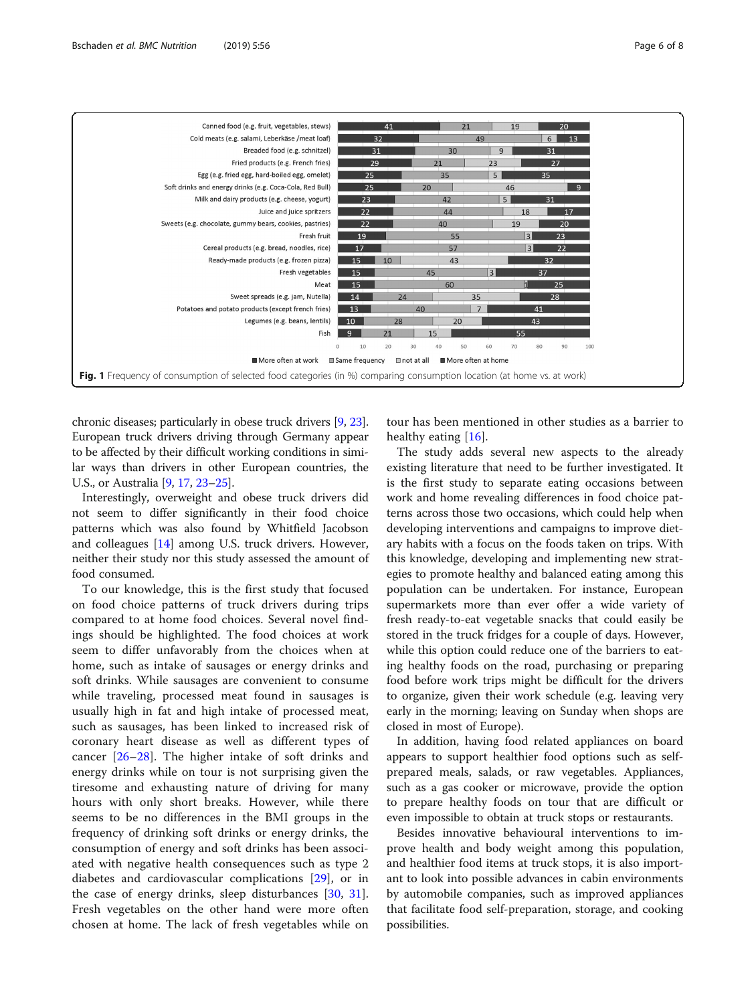<span id="page-5-0"></span>

chronic diseases; particularly in obese truck drivers [\[9,](#page-6-0) [23](#page-7-0)]. European truck drivers driving through Germany appear to be affected by their difficult working conditions in similar ways than drivers in other European countries, the U.S., or Australia [[9](#page-6-0), [17,](#page-6-0) [23](#page-7-0)–[25](#page-7-0)].

Interestingly, overweight and obese truck drivers did not seem to differ significantly in their food choice patterns which was also found by Whitfield Jacobson and colleagues [\[14\]](#page-6-0) among U.S. truck drivers. However, neither their study nor this study assessed the amount of food consumed.

To our knowledge, this is the first study that focused on food choice patterns of truck drivers during trips compared to at home food choices. Several novel findings should be highlighted. The food choices at work seem to differ unfavorably from the choices when at home, such as intake of sausages or energy drinks and soft drinks. While sausages are convenient to consume while traveling, processed meat found in sausages is usually high in fat and high intake of processed meat, such as sausages, has been linked to increased risk of coronary heart disease as well as different types of cancer [[26](#page-7-0)–[28](#page-7-0)]. The higher intake of soft drinks and energy drinks while on tour is not surprising given the tiresome and exhausting nature of driving for many hours with only short breaks. However, while there seems to be no differences in the BMI groups in the frequency of drinking soft drinks or energy drinks, the consumption of energy and soft drinks has been associated with negative health consequences such as type 2 diabetes and cardiovascular complications [[29\]](#page-7-0), or in the case of energy drinks, sleep disturbances [\[30](#page-7-0), [31](#page-7-0)]. Fresh vegetables on the other hand were more often chosen at home. The lack of fresh vegetables while on

tour has been mentioned in other studies as a barrier to healthy eating [\[16](#page-6-0)].

The study adds several new aspects to the already existing literature that need to be further investigated. It is the first study to separate eating occasions between work and home revealing differences in food choice patterns across those two occasions, which could help when developing interventions and campaigns to improve dietary habits with a focus on the foods taken on trips. With this knowledge, developing and implementing new strategies to promote healthy and balanced eating among this population can be undertaken. For instance, European supermarkets more than ever offer a wide variety of fresh ready-to-eat vegetable snacks that could easily be stored in the truck fridges for a couple of days. However, while this option could reduce one of the barriers to eating healthy foods on the road, purchasing or preparing food before work trips might be difficult for the drivers to organize, given their work schedule (e.g. leaving very early in the morning; leaving on Sunday when shops are closed in most of Europe).

In addition, having food related appliances on board appears to support healthier food options such as selfprepared meals, salads, or raw vegetables. Appliances, such as a gas cooker or microwave, provide the option to prepare healthy foods on tour that are difficult or even impossible to obtain at truck stops or restaurants.

Besides innovative behavioural interventions to improve health and body weight among this population, and healthier food items at truck stops, it is also important to look into possible advances in cabin environments by automobile companies, such as improved appliances that facilitate food self-preparation, storage, and cooking possibilities.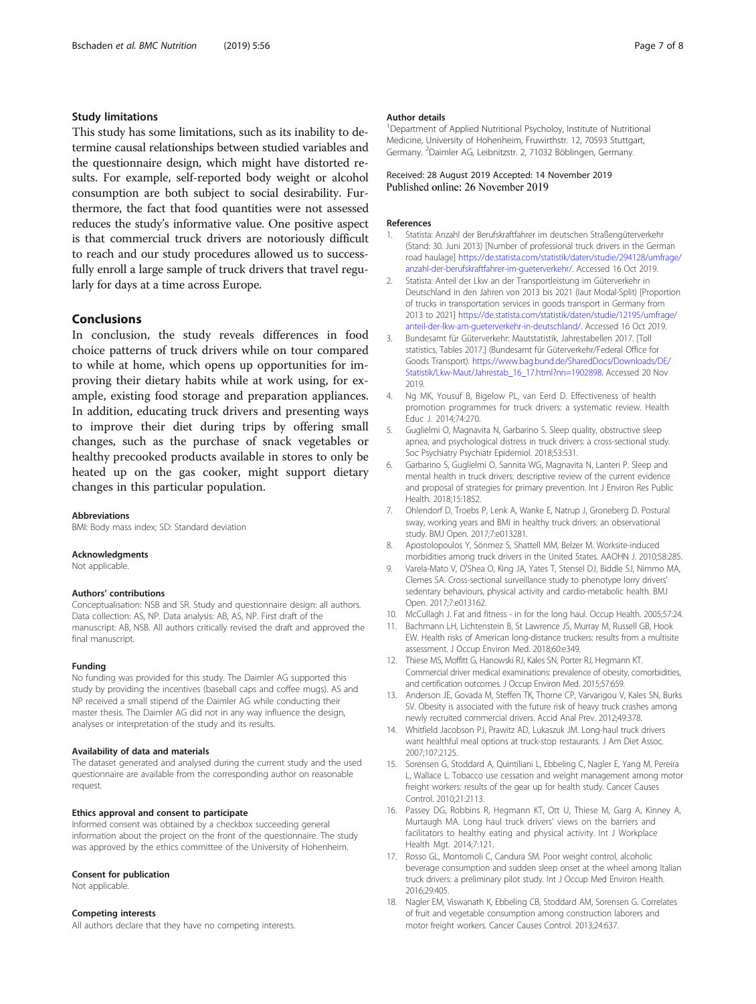# <span id="page-6-0"></span>Study limitations

This study has some limitations, such as its inability to determine causal relationships between studied variables and the questionnaire design, which might have distorted results. For example, self-reported body weight or alcohol consumption are both subject to social desirability. Furthermore, the fact that food quantities were not assessed reduces the study's informative value. One positive aspect is that commercial truck drivers are notoriously difficult to reach and our study procedures allowed us to successfully enroll a large sample of truck drivers that travel regularly for days at a time across Europe.

## **Conclusions**

In conclusion, the study reveals differences in food choice patterns of truck drivers while on tour compared to while at home, which opens up opportunities for improving their dietary habits while at work using, for example, existing food storage and preparation appliances. In addition, educating truck drivers and presenting ways to improve their diet during trips by offering small changes, such as the purchase of snack vegetables or healthy precooked products available in stores to only be heated up on the gas cooker, might support dietary changes in this particular population.

#### Abbreviations

BMI: Body mass index; SD: Standard deviation

#### Acknowledgments

Not applicable.

#### Authors' contributions

Conceptualisation: NSB and SR. Study and questionnaire design: all authors. Data collection: AS, NP. Data analysis: AB, AS, NP. First draft of the manuscript: AB, NSB. All authors critically revised the draft and approved the final manuscript.

#### Funding

No funding was provided for this study. The Daimler AG supported this study by providing the incentives (baseball caps and coffee mugs). AS and NP received a small stipend of the Daimler AG while conducting their master thesis. The Daimler AG did not in any way influence the design, analyses or interpretation of the study and its results.

#### Availability of data and materials

The dataset generated and analysed during the current study and the used questionnaire are available from the corresponding author on reasonable request.

#### Ethics approval and consent to participate

Informed consent was obtained by a checkbox succeeding general information about the project on the front of the questionnaire. The study was approved by the ethics committee of the University of Hohenheim.

#### Consent for publication

Not applicable.

#### Competing interests

All authors declare that they have no competing interests.

#### Author details

<sup>1</sup>Department of Applied Nutritional Psycholoy, Institute of Nutritional Medicine, University of Hohenheim, Fruwirthstr. 12, 70593 Stuttgart, Germany. <sup>2</sup>Daimler AG, Leibnitzstr. 2, 71032 Böblingen, Germany

### Received: 28 August 2019 Accepted: 14 November 2019 Published online: 26 November 2019

#### References

- 1. Statista: Anzahl der Berufskraftfahrer im deutschen Straßengüterverkehr (Stand: 30. Juni 2013) [Number of professional truck drivers in the German road haulage] [https://de.statista.com/statistik/daten/studie/294128/umfrage/](https://de.statista.com/statistik/daten/studie/294128/umfrage/anzahl-der-berufskraftfahrer-im-gueterverkehr/) [anzahl-der-berufskraftfahrer-im-gueterverkehr/](https://de.statista.com/statistik/daten/studie/294128/umfrage/anzahl-der-berufskraftfahrer-im-gueterverkehr/). Accessed 16 Oct 2019.
- 2. Statista: Anteil der Lkw an der Transportleistung im Güterverkehr in Deutschland in den Jahren von 2013 bis 2021 (laut Modal-Split) [Proportion of trucks in transportation services in goods transport in Germany from 2013 to 2021] [https://de.statista.com/statistik/daten/studie/12195/umfrage/](https://de.statista.com/statistik/daten/studie/12195/umfrage/anteil-der-lkw-am-gueterverkehr-in-deutschland/) [anteil-der-lkw-am-gueterverkehr-in-deutschland/.](https://de.statista.com/statistik/daten/studie/12195/umfrage/anteil-der-lkw-am-gueterverkehr-in-deutschland/) Accessed 16 Oct 2019.
- 3. Bundesamt für Güterverkehr: Mautstatistik, Jahrestabellen 2017. [Toll statistics, Tables 2017.] (Bundesamt für Güterverkehr/Federal Office for Goods Transport). [https://www.bag.bund.de/SharedDocs/Downloads/DE/](https://www.bag.bund.de/SharedDocs/Downloads/DE/Statistik/Lkw-Maut/Jahrestab_16_17.html?nn=1902898) [Statistik/Lkw-Maut/Jahrestab\\_16\\_17.html?nn=1902898](https://www.bag.bund.de/SharedDocs/Downloads/DE/Statistik/Lkw-Maut/Jahrestab_16_17.html?nn=1902898). Accessed 20 Nov 2019.
- 4. Ng MK, Yousuf B, Bigelow PL, van Eerd D. Effectiveness of health promotion programmes for truck drivers: a systematic review. Health Educ J. 2014;74:270.
- 5. Guglielmi O, Magnavita N, Garbarino S. Sleep quality, obstructive sleep apnea, and psychological distress in truck drivers: a cross-sectional study. Soc Psychiatry Psychiatr Epidemiol. 2018;53:531.
- 6. Garbarino S, Guglielmi O, Sannita WG, Magnavita N, Lanteri P. Sleep and mental health in truck drivers: descriptive review of the current evidence and proposal of strategies for primary prevention. Int J Environ Res Public Health. 2018;15:1852.
- 7. Ohlendorf D, Troebs P, Lenk A, Wanke E, Natrup J, Groneberg D. Postural sway, working years and BMI in healthy truck drivers: an observational study. BMJ Open. 2017;7:e013281.
- 8. Apostolopoulos Y, Sönmez S, Shattell MM, Belzer M. Worksite-induced morbidities among truck drivers in the United States. AAOHN J. 2010;58:285.
- Varela-Mato V, O'Shea O, King JA, Yates T, Stensel DJ, Biddle SJ, Nimmo MA, Clemes SA. Cross-sectional surveillance study to phenotype lorry drivers' sedentary behaviours, physical activity and cardio-metabolic health. BMJ Open. 2017;7:e013162.
- 10. McCullagh J. Fat and fitness in for the long haul. Occup Health. 2005;57:24.
- 11. Bachmann LH, Lichtenstein B, St Lawrence JS, Murray M, Russell GB, Hook EW. Health risks of American long-distance truckers: results from a multisite assessment. J Occup Environ Med. 2018;60:e349.
- 12. Thiese MS, Moffitt G, Hanowski RJ, Kales SN, Porter RJ, Hegmann KT. Commercial driver medical examinations: prevalence of obesity, comorbidities, and certification outcomes. J Occup Environ Med. 2015;57:659.
- 13. Anderson JE, Govada M, Steffen TK, Thorne CP, Varvarigou V, Kales SN, Burks SV. Obesity is associated with the future risk of heavy truck crashes among newly recruited commercial drivers. Accid Anal Prev. 2012;49:378.
- 14. Whitfield Jacobson PJ, Prawitz AD, Lukaszuk JM. Long-haul truck drivers want healthful meal options at truck-stop restaurants. J Am Diet Assoc. 2007;107:2125.
- 15. Sorensen G, Stoddard A, Quintiliani L, Ebbeling C, Nagler E, Yang M, Pereira L, Wallace L. Tobacco use cessation and weight management among motor freight workers: results of the gear up for health study. Cancer Causes Control. 2010;21:2113.
- 16. Passey DG, Robbins R, Hegmann KT, Ott U, Thiese M, Garg A, Kinney A, Murtaugh MA. Long haul truck drivers' views on the barriers and facilitators to healthy eating and physical activity. Int J Workplace Health Mgt. 2014;7:121.
- 17. Rosso GL, Montomoli C, Candura SM. Poor weight control, alcoholic beverage consumption and sudden sleep onset at the wheel among Italian truck drivers: a preliminary pilot study. Int J Occup Med Environ Health. 2016;29:405.
- 18. Nagler EM, Viswanath K, Ebbeling CB, Stoddard AM, Sorensen G. Correlates of fruit and vegetable consumption among construction laborers and motor freight workers. Cancer Causes Control. 2013;24:637.